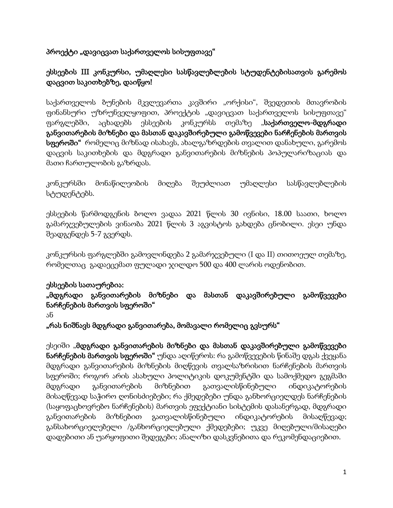# პროექტი "დავიცვათ საქართველოს სისუფთავე"

# ესსეების III კონკურსი, უმაღლესი სასწავლებლების სტუდენტებისათვის გარემოს დაცვით საკითხებზე, დაიწყო!

საქართველოს ბუნების მკვლევართა კავშირი "ორქისი", შვედეთის მთავრობის ფინანსური უზრუნველყოფით, პროექტის "დავიცვათ საქართველოს სისუფთავე" ფარგლებში, აცხადებს ესსეების კონკურსს თემაზე "**საქართველო-მდგრადი** განვითარების მიზნები და მასთან დაკავშირებული გამოწვევები ნარჩენების მართვის სფეროში" რომელიც მიზნად ისახავს, ახალგაზრდების თვალით დანახული, გარემოს დაცვის საკითხების და მდგრადი განვითარების მიზნების პოპულარიზაციას და მათი ჩართულობის გაზრდას.

კონკურსში მონაწილეობის მიღება შეუძლიათ უმაღლესი სასწავლებლების სტუდენტებს.

ესსეების წარმოდგენის ბოლო ვადაა 2021 წლის 30 ივნისი, 18.00 საათი, ხოლო გამარჯვებულების ვინაობა 2021 წლის 3 აგვისტოს გახდება ცნობილი. ესეი უნდა შეადგენდეს 5-7 გვერდს.

კონკურსის ფარგლებში გამოვლინდება 2 გამარჯვებული (I და II) თითოეულ თემაზე, რომელთაც გადაეცემათ ფულადი ჯილდო 500 და 400 ლარის ოდენობით.

### ესსეების სათაურებია:

## "მდგრადი განვითარების მიზნები და მასთან დაკავშირებული გამოწვევები ნარჩენების მართვის სფეროში"

ან

"რას ნიშნავს მდგრადი განვითარება, მომავალი რომელიც გვსურს"

ესეიში "მდგრადი განვითარების მიზნები და მასთან დაკავშირებული გამოწვევები ნარჩენების მართვის სფეროში" უნდა აღიწეროს: რა გამოწვევების წინაშე დგას ქვეყანა მდგრადი განვითარების მიზნების მიღწევის თვალსაზრისით ნარჩენების მართვის სფეროში; როგორ არის ასახული პოლიტიკის დოკუმენტში და სამოქმედო გეგმაში მდგრადი განვითარების მიზნებით გათვალისწინებული ინდიკატორების მისაღწევად საჭირო ღონისძიებები; რა ქმედებები უნდა განხორციელდეს ნარჩენების (საყოფაცხოვრებო ნარჩენების) მართვის ეფექტიანი სისტემის დასანერგად, მდგრადი განვითარების მიზნებით გათვალისწინებული ინდიკატორების მისაღწევად; განსახორციელებელი /განხორციელებული ქმედებები; უკვე მიღებული/მისაღები დადებითი ან უარყოფითი შედეგები; ანალიზი დასკვნებითა და რეკომენდაციებით.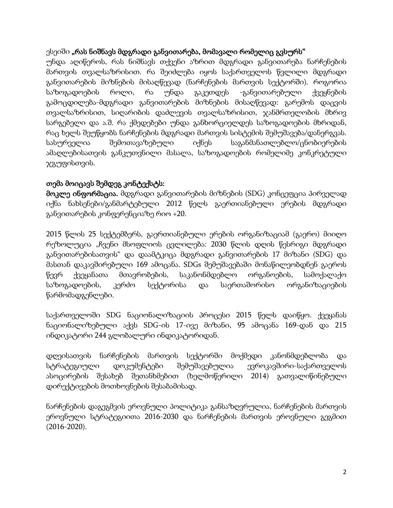## ესეიში "რას ნიშნავს მდგრადი განვითარება, მომავალი რომელიც გვსურს"

უნდა აღიწეროს, რას ნიშნავს თქვენი აზრით მდგრადი განვითარება ნარჩენების მართვის თვალსაზრისით. რა შეიძლება იყოს საქართველოს წვლილი მდგრადი განვითარების მიზნების მისაღწევად (ნარჩენების მართვის სექტორში). როგორია საზოგადოების როლი, რა უნდა გაკეთდეს -განვითარებული ქვეყნების გამოცდილება-მდგრადი განვითარების მიზნების მისაღწევად: გარემოს დაცვის თვალსაზრისით, სიღარიბის დაძლევის თვალსაზრისით, ჯანმრთელობის მხრივ სარგებელი და ა.შ. რა ქმედებები უნდა განხორციელდეს საზოგადოების მხრიდან, რაც ხელს შეუწყობს ნარჩენების მდგრადი მართვის სისტემის შემუშავება/დანერგვას. სასურველია შემოთავაზებული იქნეს საგანმანათლებლო/ცნობიერების ამაღლებისათვის განკუთვნილი მასალა, საზოგადოების რომელიმე კონკრეტული ჯგუფისთვის.

## თემა მოიცავს შემდეგ კონტექსტს:

მოკლე ინფორმაცია. მდგრადი განვითარების მიზნების (SDG) კონცეფცია პირველად იქნა ნახსენები/განმარტებული 2012 წელს გაერთიანებული ერების მდგრადი განვითარების კონფერენციაზე რიო +20.

2015 წლის 25 სექტემბერს, გაერთიანებული ერების ორგანიზაციამ (გაერო) მიიღო რეზოლუცია "ჩვენი მსოფლიოს ცვლილება: 2030 წლის დღის წესრიგი მდგრადი განვითარებისათვის" და დაამტკიცა მდგრადი განვითარების 17 მიზანი (SDG) და მასთან დაკავშირებული 169 ამოცანა. SDGs შემუშავებაში მონაწილეობდნენ გაეროს წევრ ქვეყანათა მთავრობების, საკანონმდებლო ორგანოების, სამოქალაქო საზოგადოების, კერძო სექტორისა და საერთაშორისო ორგანიზაციების წარმომადგენლები.

საქართველოში SDG ნაციონალიზაციის პროცესი 2015 წელს დაიწყო. ქვეყანას ნაციონალიზებული აქვს SDG-ის 17-ივე მიზანი, 95 ამოცანა 169-დან და 215 ინდიკატორი 244 გლობალური ინდიკატორიდან.

დღეისათვის ნარჩენების მართვის სექტორში მოქმედი კანონმდებლობა და სტრატეგიული დოკუმენტები შემუშავებულია ევროკავშირი-საქართველოს ასოცირების შესახებ შეთანხმებით (ხელმოწერილი 2014) გათვალიწინებული დირექტივების მოთხოვნების შესაბამისად.

ნარჩენების დაგეგმვის ეროვნული პოლიტიკა განსაზღვრულია, ნარჩენების მართვის ეროვნული სტრატეგიითა 2016-2030 და ნარჩენების მართვის ეროვნული გეგმით (2016-2020).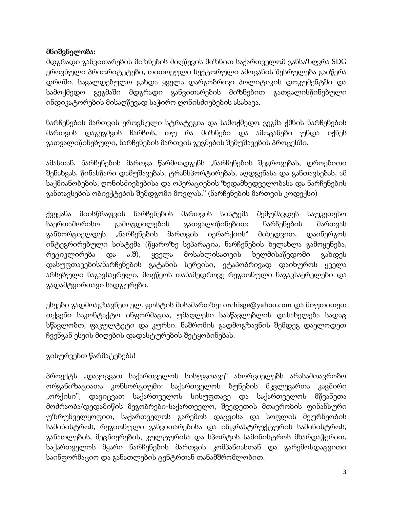### მნიშვნელობა:

მდგრადი განვითარების მიზნების მიღწევის მიზნით საქართველომ განსაზღვრა SDG ეროვნული პრიორიტეტები, თითოეული სექტორული ამოცანის შესრულება გაიწერა დროში. სავალდებულო გახდა ყველა დარგობრივი პოლიტიკის დოკუმენტში და სამოქმედო გეგმაში მდგრადი განვითარების მიზნებით გათვალისწინებული ინდიკატორების მისაღწევად საჭირო ღონისძიებების ასახავა.

ნარჩენების მართვის ეროვნული სტრატეგია და სამოქმედო გეგმა ქმნის ნარჩენების მართვის დაგეგმვის ჩარჩოს, თუ რა მიზნები და ამოცანები უნდა იქნეს გათვალიწინებული, ნარჩენების მართვის გეგმების შემუშავების პროცესში.

ამასთან, ნარჩენების მართვა წარმოადგენს "ნარჩენების შეგროვებას, დროებითი შენახვას, წინასწარი დამუშავებას, ტრანსპორტირებას, აღდგენასა და განთავსებას, ამ საქმიანობების, ღონისძიებებისა და ოპერაციების ზედამხედველობასა და ნარჩენების განთავსების ობიექტების შემდგომი მოვლას." (ნარჩენების მართვის კოდექსი)

ქვეყანა მიისწრაფვის ნარჩენების მართვის სისტემა შემუშავდეს საუკეთესო საერთაშორისო გამოცდილების გათვალიწინებით; ნარჩენების მართვას განხორციელდეს "ნარჩენების მართვის იერარქიის" მიხედვით, დაინერგოს ინტეგრირებული სისტემა (წყაროზე სეპარაცია, ნარჩენების ხელახლა გამოყენება, რეციკლირება და ა.შ), ყველა მოსახლისათვის ხელმისაწვდომი გახდეს დასუფთავების/ნარჩენების გატანის სერვისი, ეტაპობრივად დაიხუროს ყველა არსებული ნაგავსაყრელი, მოეწყოს თანამედროვე რეგიონული ნაგავსაყრელები და გადამტვირთავი სადგურები.

ესეები გადმოაგზავნეთ ელ. ფოსტის მისამართზე: orchisge@yahoo.com და მიუთითეთ თქვენი საკონტაქტო ინფორმაცია, უმაღლესი სასწავლებლის დასახელება სადაც სწავლობთ, ფაკულტეტი და კურსი. ნაშრომის გადმოგზავნის შემდეგ დაელოდეთ ჩვენგან ესეის მიღების დადასტურების შეტყობინებას.

## გისურვებთ წარმატებებს!

პროექტს "დავიცვათ საქართველოს სისუფთავე" ახორციელებს არასამთავრობო ორგანიზაციათა კონსორციუმი: საქართველოს ბუნების მკვლევართა კავშირი "ორქისი", დავიცვათ საქართველოს სისუფთავე და საქართველოს მწვანეთა მოძრაობა/დედამიწის მეგობრები-საქართველო, შვედეთის მთავრობის ფინანსური უზრუნველყოფით, საქართველოს გარემოს დაცვისა და სოფლის მეურნეობის სამინისტროს, რეგიონული განვითარებისა და ინფრასტრუქტურის სამინისტროს, განათლების, მეცნიერების, კულტურისა და სპორტის სამინისტროს მხარდაჭერით, საქართველოს მყარი ნარჩენების მართვის კომპანიასთან და გარემოსდაცვითი საინფორმაციო და განათლების ცენტრთან თანამშრომლობით.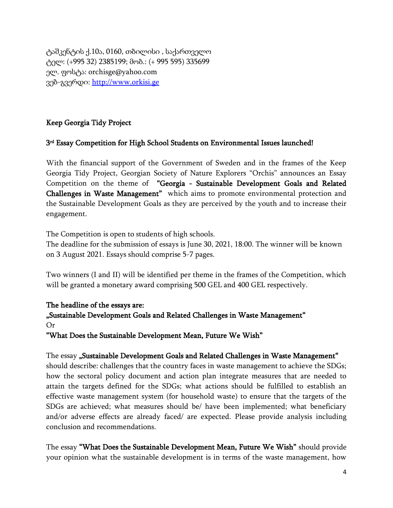ტაშკენტის ქ.10ა, 0160, თბილისი , საქართველო ტელ: (+995 32) 2385199; მობ.: (+ 995 595) 335699 ელ. ფოსტა: orchisge@yahoo.com ვებ-გვერდი: [http://www.orkisi.ge](https://l.facebook.com/l.php?u=http%3A%2F%2Fwww.orkisi.ge%2F%3Ffbclid%3DIwAR0IPeylq8JgwiWvP8rgSq-R8Z3cjUY0b7qHrROgIarlBo2DEjU2KWwvrYs&h=AT1yE5hU09K5s4WqrMbBXw1njOXN5ISayHu4Z8sXHfl8dQUFanp21qvCZAtZ3waWwQgptjeSYNP2caaAXLO57-lflnJEDID4AcN5dOaOGEnj2lbMc4C8nlyC_1jhHOPeUns&__tn__=-UK-R&c%5b0%5d=AT3WU9P5xiaMkPLsljpwi1pAIUld_6dZ1dTFyimQKnw0qMH0C7Gq_7ON6kdVgD9gVuZv_11xiZ6bRgJNcgsOmxi-P_wo5eheKGi2Wvxbxfi4ZpS7ykO_7NquQug5jxvNz_DQ-GoUujcj1kemydQaWt_KHg)

### Keep Georgia Tidy Project

#### 3 rd Essay Competition for High School Students on Environmental Issues launched!

With the financial support of the Government of Sweden and in the frames of the Keep Georgia Tidy Project, Georgian Society of Nature Explorers "Orchis" announces an Essay Competition on the theme of "Georgia - Sustainable Development Goals and Related Challenges in Waste Management" which aims to promote environmental protection and the Sustainable Development Goals as they are perceived by the youth and to increase their engagement.

The Competition is open to students of high schools.

The deadline for the submission of essays is June 30, 2021, 18:00. The winner will be known on 3 August 2021. Essays should comprise 5-7 pages.

Two winners (I and II) will be identified per theme in the frames of the Competition, which will be granted a monetary award comprising 500 GEL and 400 GEL respectively.

#### The headline of the essays are:

"Sustainable Development Goals and Related Challenges in Waste Management" Or

"What Does the Sustainable Development Mean, Future We Wish"

The essay "Sustainable Development Goals and Related Challenges in Waste Management" should describe: challenges that the country faces in waste management to achieve the SDGs; how the sectoral policy document and action plan integrate measures that are needed to attain the targets defined for the SDGs; what actions should be fulfilled to establish an effective waste management system (for household waste) to ensure that the targets of the SDGs are achieved; what measures should be/ have been implemented; what beneficiary and/or adverse effects are already faced/ are expected. Please provide analysis including conclusion and recommendations.

The essay "What Does the Sustainable Development Mean, Future We Wish" should provide your opinion what the sustainable development is in terms of the waste management, how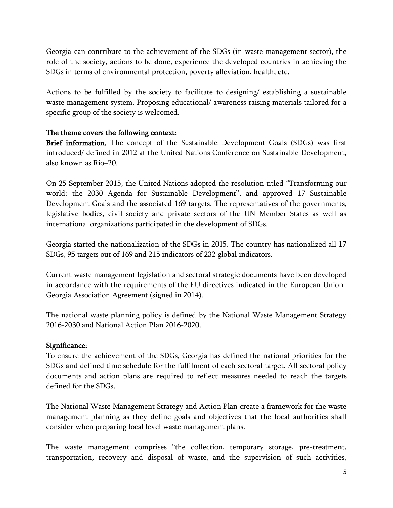Georgia can contribute to the achievement of the SDGs (in waste management sector), the role of the society, actions to be done, experience the developed countries in achieving the SDGs in terms of environmental protection, poverty alleviation, health, etc.

Actions to be fulfilled by the society to facilitate to designing/ establishing a sustainable waste management system. Proposing educational/ awareness raising materials tailored for a specific group of the society is welcomed.

#### The theme covers the following context:

Brief information. The concept of the Sustainable Development Goals (SDGs) was first introduced/ defined in 2012 at the United Nations Conference on Sustainable Development, also known as Rio+20.

On 25 September 2015, the United Nations adopted the resolution titled "Transforming our world: the 2030 Agenda for Sustainable Development", and approved 17 Sustainable Development Goals and the associated 169 targets. The representatives of the governments, legislative bodies, civil society and private sectors of the UN Member States as well as international organizations participated in the development of SDGs.

Georgia started the nationalization of the SDGs in 2015. The country has nationalized all 17 SDGs, 95 targets out of 169 and 215 indicators of 232 global indicators.

Current waste management legislation and sectoral strategic documents have been developed in accordance with the requirements of the EU directives indicated in the European Union-Georgia Association Agreement (signed in 2014).

The national waste planning policy is defined by the National Waste Management Strategy 2016-2030 and National Action Plan 2016-2020.

#### Significance:

To ensure the achievement of the SDGs, Georgia has defined the national priorities for the SDGs and defined time schedule for the fulfilment of each sectoral target. All sectoral policy documents and action plans are required to reflect measures needed to reach the targets defined for the SDGs.

The National Waste Management Strategy and Action Plan create a framework for the waste management planning as they define goals and objectives that the local authorities shall consider when preparing local level waste management plans.

The waste management comprises "the collection, temporary storage, pre-treatment, transportation, recovery and disposal of waste, and the supervision of such activities,